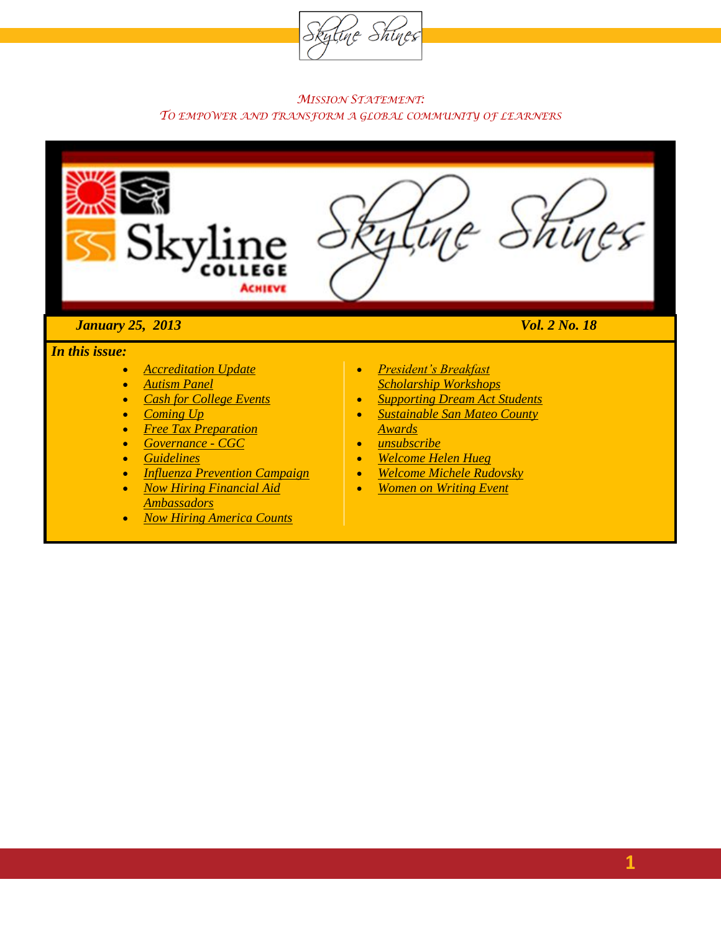

#### *MISSION STATEMENT: TO EMPOWER AND TRANSFORM A GLOBAL COMMUNITY OF LEARNERS*



#### *January 25, 2013 Vol. 2 No. 18*

#### *In this issue:*

- *[Accreditation Update](#page-11-0)*
- *Autism Panel*
- *Cash for College Events*
- *Coming Up*
- *Free Tax Preparation*
- *[Governance -](#page-12-0) CGC*
- *Guidelines*
- *[Influenza Prevention Campaign](#page-14-0)*
- *Now Hiring Financial Aid Ambassadors*
- *Now Hiring America Counts*
- *President's Breakfast Scholarship Workshops*
- *Supporting Dream Act Students*
- *Sustainable San Mateo County Awards*
- *unsubscribe*
- *Welcome Helen Hueg*
- *Welcome Michele Rudovsky*
- *Women on Writing Event*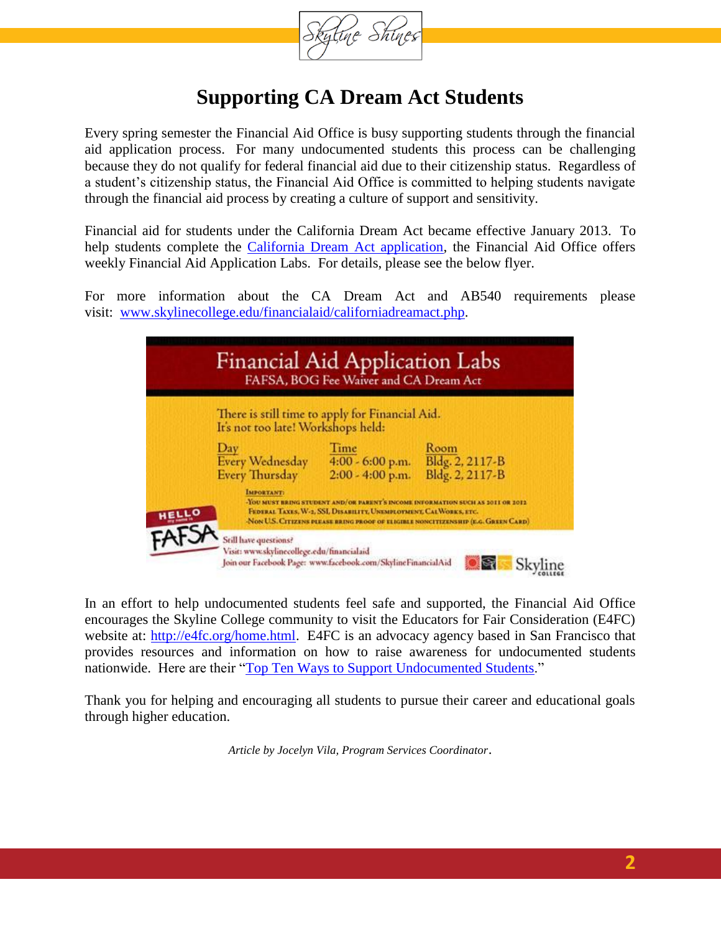

### **Supporting CA Dream Act Students**

Every spring semester the Financial Aid Office is busy supporting students through the financial aid application process. For many undocumented students this process can be challenging because they do not qualify for federal financial aid due to their citizenship status. Regardless of a student's citizenship status, the Financial Aid Office is committed to helping students navigate through the financial aid process by creating a culture of support and sensitivity.

Financial aid for students under the California Dream Act became effective January 2013. To help students complete the [California Dream Act application,](http://www.csac.ca.gov/dream_act.asp) the Financial Aid Office offers weekly Financial Aid Application Labs. For details, please see the below flyer.

For more information about the CA Dream Act and AB540 requirements please visit: [www.skylinecollege.edu/financialaid/californiadreamact.php.](http://www.skylinecollege.edu/financialaid/californiadreamact.php)

| <b>Financial Aid Application Labs</b>                                                 | FAFSA, BOG Fee Waiver and CA Dream Act                                                                       |                                                                                   |  |  |
|---------------------------------------------------------------------------------------|--------------------------------------------------------------------------------------------------------------|-----------------------------------------------------------------------------------|--|--|
| There is still time to apply for Financial Aid.<br>It's not too late! Workshops held: |                                                                                                              |                                                                                   |  |  |
| Day<br><b>Every Wednesday</b><br>Every Thursday                                       | Time<br>4:00 - 6:00 p.m.<br>2:00 - 4:00 p.m.                                                                 | Room<br>Bldg. 2, 2117-B<br>Bldg. 2, 2117-B                                        |  |  |
| <b>IMPORTANT:</b><br><b>NOU MUST BRING STUP</b>                                       | <b>ND</b> OF BARBAY'S INCOME INFORMATION<br>FEDERAL TAXES, W-2, SSL DISABILITY, UNEMPLOYMENT, CALWORKS, ETC. | NON U.S. CITIZENS PERASE RRING PROOF OF ELIGIBLE NONCITIZENSHIP (E.G. GREEN CARD) |  |  |

In an effort to help undocumented students feel safe and supported, the Financial Aid Office encourages the Skyline College community to visit the Educators for Fair Consideration (E4FC) website at: [http://e4fc.org/home.html.](http://e4fc.org/home.html) E4FC is an advocacy agency based in San Francisco that provides resources and information on how to raise awareness for undocumented students nationwide. Here are their ["Top Ten Ways to Support Undocumented Students.](http://e4fc.org/images/E4FC_EducatorTop10.pdf)"

Thank you for helping and encouraging all students to pursue their career and educational goals through higher education.

*Article by Jocelyn Vila, Program Services Coordinator*.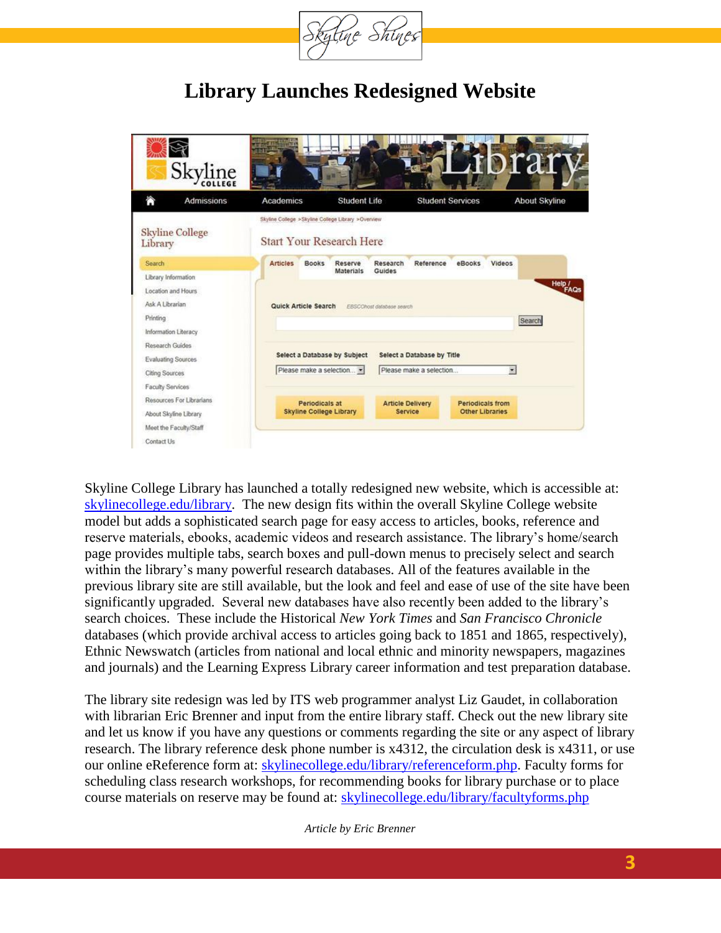

### **Library Launches Redesigned Website**

| Skyline                                                                                                    |                                                         |                                                                                       |                                                       |                                                   | rai                      |
|------------------------------------------------------------------------------------------------------------|---------------------------------------------------------|---------------------------------------------------------------------------------------|-------------------------------------------------------|---------------------------------------------------|--------------------------|
| A<br><b>Admissions</b>                                                                                     | Academics                                               | <b>Student Life</b>                                                                   | <b>Student Services</b>                               |                                                   | <b>About Skyline</b>     |
| <b>Skyline College</b><br>Library                                                                          |                                                         | Skyline College >Skyline College Library >Overview<br><b>Start Your Research Here</b> |                                                       |                                                   |                          |
| Search<br>Library Information<br>Location and Hours<br>Ask A Librarian<br>Printing<br>Information Literacy | <b>Articles</b><br><b>Books</b><br>Quick Article Search | Reserve<br>Research<br><b>Materials</b><br>Guides<br>EBSCOhost database search        | Reference                                             | eBooks<br>Videos                                  | Heip /<br>FAQS<br>Search |
| Research Guides<br>Evaluating Sources<br><b>Citing Sources</b><br>Faculty Services                         |                                                         | Select a Database by Subject<br>Please make a selection                               | Select a Database by Title<br>Please make a selection | $\overline{\phantom{a}}$                          |                          |
| Resources For Librarians<br>About Skyline Library<br>Meet the Faculty/Staff<br>Contact Us                  | <b>Periodicals at</b><br><b>Skyline College Library</b> |                                                                                       | <b>Article Delivery</b><br><b>Service</b>             | <b>Periodicals from</b><br><b>Other Libraries</b> |                          |

Skyline College Library has launched a totally redesigned new website, which is accessible at: [skylinecollege.edu/library.](http://skylinecollege.edu/library) The new design fits within the overall Skyline College website model but adds a sophisticated search page for easy access to articles, books, reference and reserve materials, ebooks, academic videos and research assistance. The library's home/search page provides multiple tabs, search boxes and pull-down menus to precisely select and search within the library's many powerful research databases. All of the features available in the previous library site are still available, but the look and feel and ease of use of the site have been significantly upgraded. Several new databases have also recently been added to the library's search choices. These include the Historical *New York Times* and *San Francisco Chronicle* databases (which provide archival access to articles going back to 1851 and 1865, respectively), Ethnic Newswatch (articles from national and local ethnic and minority newspapers, magazines and journals) and the Learning Express Library career information and test preparation database.

The library site redesign was led by ITS web programmer analyst Liz Gaudet, in collaboration with librarian Eric Brenner and input from the entire library staff. Check out the new library site and let us know if you have any questions or comments regarding the site or any aspect of library research. The library reference desk phone number is x4312, the circulation desk is x4311, or use our online eReference form at: [skylinecollege.edu/library/referenceform.php.](http://www.skylinecollege.edu/library/referenceform.php) Faculty forms for scheduling class research workshops, for recommending books for library purchase or to place course materials on reserve may be found at: [skylinecollege.edu/library/facultyforms.php](http://www.skylinecollege.edu/library/facultyforms.php)

*Article by Eric Brenner*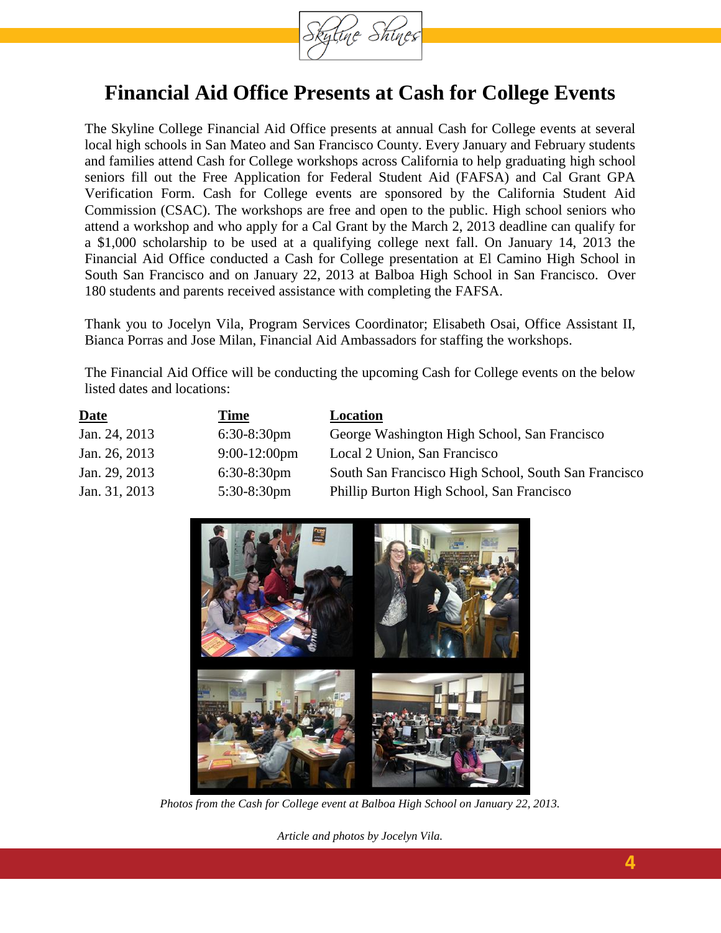

### **Financial Aid Office Presents at Cash for College Events**

The Skyline College Financial Aid Office presents at annual Cash for College events at several local high schools in San Mateo and San Francisco County. Every January and February students and families attend Cash for College workshops across California to help graduating high school seniors fill out the Free Application for Federal Student Aid (FAFSA) and Cal Grant GPA Verification Form. Cash for College events are sponsored by the California Student Aid Commission (CSAC). The workshops are free and open to the public. High school seniors who attend a workshop and who apply for a Cal Grant by the March 2, 2013 deadline can qualify for a \$1,000 scholarship to be used at a qualifying college next fall. On January 14, 2013 the Financial Aid Office conducted a Cash for College presentation at El Camino High School in South San Francisco and on January 22, 2013 at Balboa High School in San Francisco. Over 180 students and parents received assistance with completing the FAFSA.

Thank you to Jocelyn Vila, Program Services Coordinator; Elisabeth Osai, Office Assistant II, Bianca Porras and Jose Milan, Financial Aid Ambassadors for staffing the workshops.

The Financial Aid Office will be conducting the upcoming Cash for College events on the below listed dates and locations:

| <b>Date</b>   | Time            | <b>Location</b>                                      |
|---------------|-----------------|------------------------------------------------------|
| Jan. 24, 2013 | $6:30-8:30$ pm  | George Washington High School, San Francisco         |
| Jan. 26, 2013 | $9:00-12:00$ pm | Local 2 Union, San Francisco                         |
| Jan. 29, 2013 | $6:30-8:30$ pm  | South San Francisco High School, South San Francisco |
| Jan. 31, 2013 | $5:30-8:30$ pm  | Phillip Burton High School, San Francisco            |



*Photos from the Cash for College event at Balboa High School on January 22, 2013.*

*Article and photos by Jocelyn Vila.*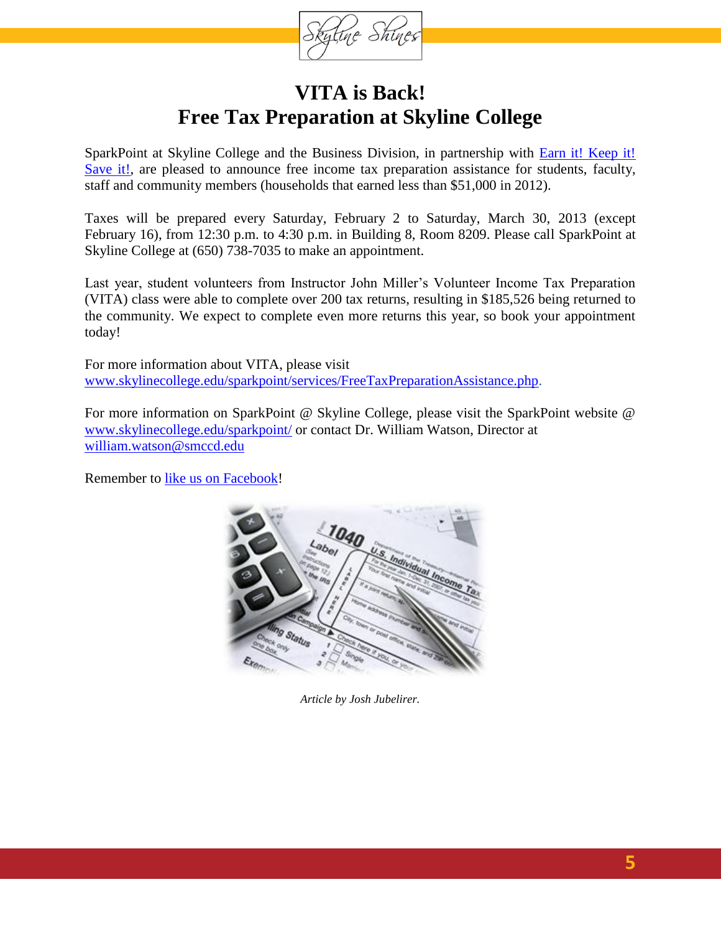tine Shine

### **VITA is Back! Free Tax Preparation at Skyline College**

SparkPoint at Skyline College and the Business Division, in partnership with **Earn it!** Keep it! [Save it!,](http://earnitkeepitsaveit.org/) are pleased to announce free income tax preparation assistance for students, faculty, staff and community members (households that earned less than \$51,000 in 2012).

Taxes will be prepared every Saturday, February 2 to Saturday, March 30, 2013 (except February 16), from 12:30 p.m. to 4:30 p.m. in Building 8, Room 8209. Please call SparkPoint at Skyline College at (650) 738-7035 to make an appointment.

Last year, student volunteers from Instructor John Miller's Volunteer Income Tax Preparation (VITA) class were able to complete over 200 tax returns, resulting in \$185,526 being returned to the community. We expect to complete even more returns this year, so book your appointment today!

For more information about VITA, please visit [www.skylinecollege.edu/sparkpoint/services/FreeTaxPreparationAssistance.php.](http://www.skylinecollege.edu/sparkpoint/services/FreeTaxPreparationAssistance.php)

For more information on SparkPoint @ Skyline College, please visit the SparkPoint website @ [www.skylinecollege.edu/sparkpoint/](http://www.skylinecollege.edu/sparkpoint/) or contact Dr. William Watson, Director at [william.watson@smccd.edu](mailto:william.watson@smccd.edu)

Remember to [like us on Facebook!](http://www.facebook.com/SparkPointSkyline)



*Article by Josh Jubelirer.*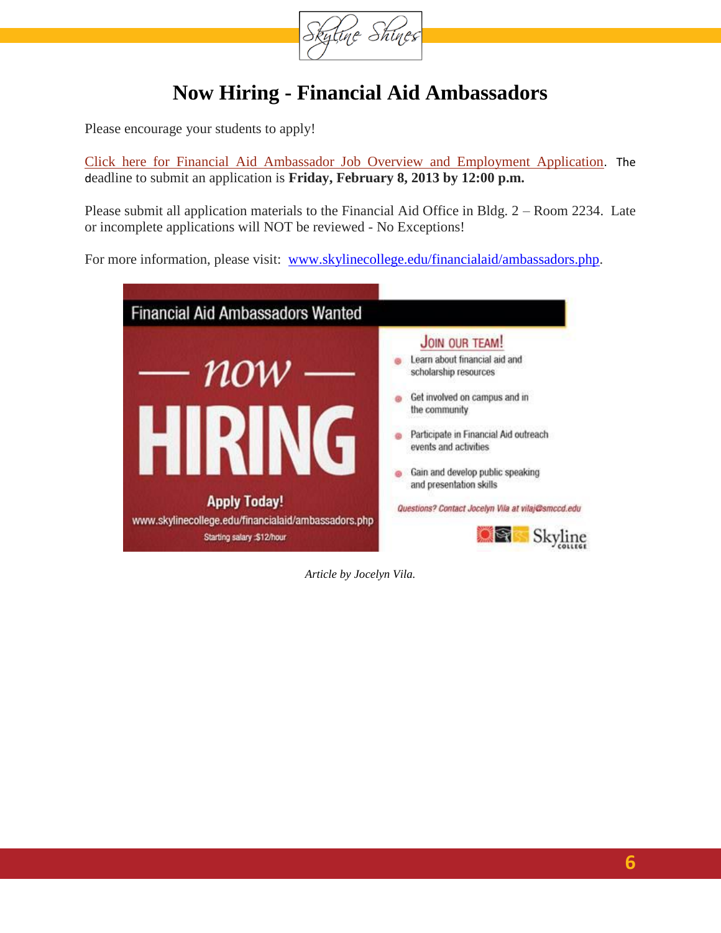

### **Now Hiring - Financial Aid Ambassadors**

Please encourage your students to apply!

[Click here for Financial Aid Ambassador Job Overview and Employment Application](http://www.skylinecollege.edu/financialaid/finaidambassadorapplicationsp13.pdf). The deadline to submit an application is **Friday, February 8, 2013 by 12:00 p.m.** 

Please submit all application materials to the Financial Aid Office in Bldg. 2 – Room 2234. Late or incomplete applications will NOT be reviewed - No Exceptions!

For more information, please visit: [www.skylinecollege.edu/financialaid/ambassadors.php.](http://www.skylinecollege.edu/financialaid/ambassadors.php)



*Article by Jocelyn Vila.*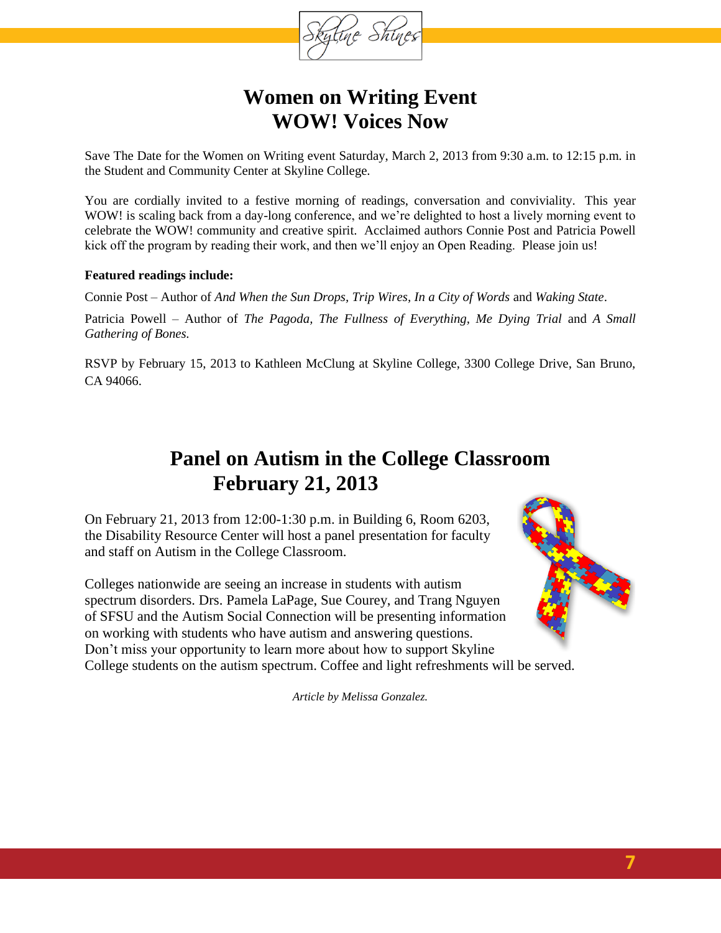

### **Women on Writing Event WOW! Voices Now**

Save The Date for the Women on Writing event Saturday, March 2, 2013 from 9:30 a.m. to 12:15 p.m. in the Student and Community Center at Skyline College.

You are cordially invited to a festive morning of readings, conversation and conviviality. This year WOW! is scaling back from a day-long conference, and we're delighted to host a lively morning event to celebrate the WOW! community and creative spirit. Acclaimed authors Connie Post and Patricia Powell kick off the program by reading their work, and then we'll enjoy an Open Reading. Please join us!

#### **Featured readings include:**

Connie Post – Author of *And When the Sun Drops, Trip Wires, In a City of Words* and *Waking State*.

Patricia Powell – Author of *The Pagoda, The Fullness of Everything, Me Dying Trial* and *A Small Gathering of Bones.*

RSVP by February 15, 2013 to Kathleen McClung at Skyline College, 3300 College Drive, San Bruno, CA 94066.

### **Panel on Autism in the College Classroom February 21, 2013**

On February 21, 2013 from 12:00-1:30 p.m. in Building 6, Room 6203, the Disability Resource Center will host a panel presentation for faculty and staff on Autism in the College Classroom.

Colleges nationwide are seeing an increase in students with autism spectrum disorders. Drs. Pamela LaPage, Sue Courey, and Trang Nguyen of SFSU and the Autism Social Connection will be presenting information on working with students who have autism and answering questions. Don't miss your opportunity to learn more about how to support Skyline College students on the autism spectrum. Coffee and light refreshments will be served.



*Article by Melissa Gonzalez.*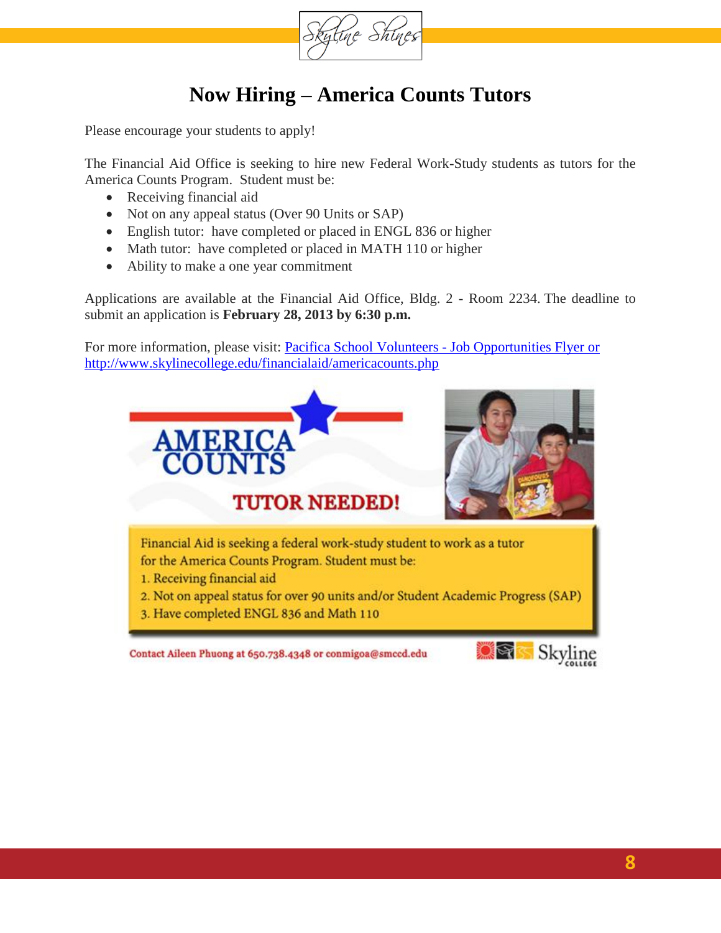

### **Now Hiring – America Counts Tutors**

Please encourage your students to apply!

The Financial Aid Office is seeking to hire new Federal Work-Study students as tutors for the America Counts Program. Student must be:

- Receiving financial aid
- Not on any appeal status (Over 90 Units or SAP)
- English tutor: have completed or placed in ENGL 836 or higher
- Math tutor: have completed or placed in MATH 110 or higher
- Ability to make a one year commitment

Applications are available at the Financial Aid Office, Bldg. 2 - Room 2234. The deadline to submit an application is **February 28, 2013 by 6:30 p.m.**

For more information, please visit: Pacifica School Volunteers - Job Opportunities Flyer or <http://www.skylinecollege.edu/financialaid/americacounts.php>

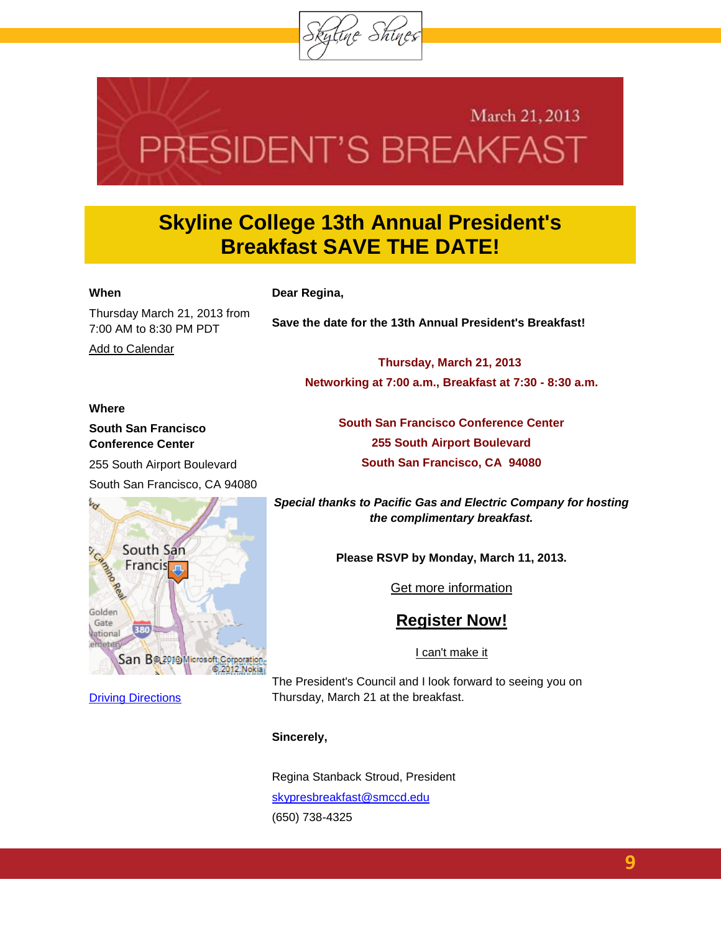

# March 21, 2013 PRESIDENT'S BREAKFAST

### **Skyline College 13th Annual President's Breakfast SAVE THE DATE!**

#### **When**

**Dear Regina,**

Thursday March 21, 2013 from 7:00 AM to 8:30 PM PDT

[Add to Calendar](http://r20.rs6.net/tn.jsp?e=001u1wlg09HO8u9PPEpgSZWX37PmVZqnzo5lS4QIF5IFJd4bC4e2SHydoVbCT5eGrTVg9UCsAdgZdhtPPvYlRAmlnFBht_xHzPU2cfLLLN_n2059pqKpALopl3nnz298ssxgw1OfhHg7dZQEzG5uZ32CIV8Di_SdSEHt9CJxpGESp8vkySzEAUFMXTUYtXoRO0kI1GHd1Do2Y4=)

**Save the date for the 13th Annual President's Breakfast!**

**Thursday, March 21, 2013 Networking at 7:00 a.m., Breakfast at 7:30 - 8:30 a.m.**

> **South San Francisco Conference Center 255 South Airport Boulevard South San Francisco, CA 94080**

#### **Where**

**South San Francisco Conference Center**

255 South Airport Boulevard

South San Francisco, CA 94080



**[Driving Directions](http://r20.rs6.net/tn.jsp?e=001u1wlg09HO8ttw0x5pb9MlAhDxfsXZpLWXGve2qO01Xt4G5rBUlqwP_Wv-E_nUH3yb7R_pDFUl8oBeKFZsR9iebmj4QnYIquXjffesCiiioAn1MCSp12PeCm7I0SNMNEpcO_80etQWlTmjF9rkQ2O5LdpfgaD4gezPpPB_wSSbsRGUmj4lC_5YeRHK31kwn0N3o3xh-x4BtFHhMLi1HhwrlsY4MbW85xk)** 

*Special thanks to Pacific Gas and Electric Company for hosting the complimentary breakfast.*

**Please RSVP by Monday, March 11, 2013.**

[Get more information](http://events.r20.constantcontact.com/register/event?llr=5e8sdedab&oeidk=a07e6x96ue40b8cff95&oseq=a0213cg4rg3egs)

### **[Register Now!](http://events.r20.constantcontact.com/register/eventReg?llr=5e8sdedab&oeidk=a07e6x96ue40b8cff95&oseq=a0213cg4rg3egs)**

[I can't make it](http://events.r20.constantcontact.com/register/decline?llr=5e8sdedab&oeidk=a07e6x96ue40b8cff95&oseq=a0213cg4rg3egs)

The President's Council and I look forward to seeing you on Thursday, March 21 at the breakfast.

#### **Sincerely,**

Regina Stanback Stroud, President [skypresbreakfast@smccd.edu](mailto:skypresbreakfast@smccd.edu) (650) 738-4325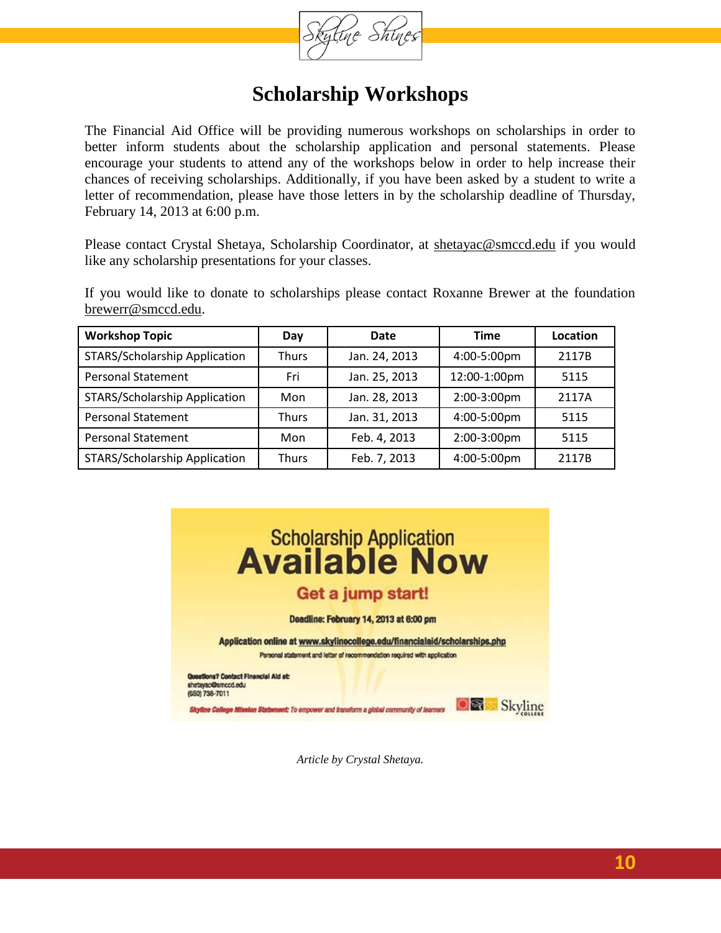

### **Scholarship Workshops**

The Financial Aid Office will be providing numerous workshops on scholarships in order to better inform students about the scholarship application and personal statements. Please encourage your students to attend any of the workshops below in order to help increase their chances of receiving scholarships. Additionally, if you have been asked by a student to write a letter of recommendation, please have those letters in by the scholarship deadline of Thursday, February 14, 2013 at 6:00 p.m.

Please contact Crystal Shetaya, Scholarship Coordinator, at [shetayac@smccd.edu](mailto:shetayac@smccd.edu) if you would like any scholarship presentations for your classes.

If you would like to donate to scholarships please contact Roxanne Brewer at the foundation [brewerr@smccd.edu.](mailto:brewerr@smccd.edu)

| <b>Workshop Topic</b>                | Day          | Date          | <b>Time</b>  | Location |
|--------------------------------------|--------------|---------------|--------------|----------|
| <b>STARS/Scholarship Application</b> | <b>Thurs</b> | Jan. 24, 2013 | 4:00-5:00pm  | 2117B    |
| <b>Personal Statement</b>            | Fri          | Jan. 25, 2013 | 12:00-1:00pm | 5115     |
| <b>STARS/Scholarship Application</b> | Mon          | Jan. 28, 2013 | 2:00-3:00pm  | 2117A    |
| <b>Personal Statement</b>            | <b>Thurs</b> | Jan. 31, 2013 | 4:00-5:00pm  | 5115     |
| <b>Personal Statement</b>            | Mon          | Feb. 4, 2013  | 2:00-3:00pm  | 5115     |
| STARS/Scholarship Application        | <b>Thurs</b> | Feb. 7, 2013  | 4:00-5:00pm  | 2117B    |



*Article by Crystal Shetaya.*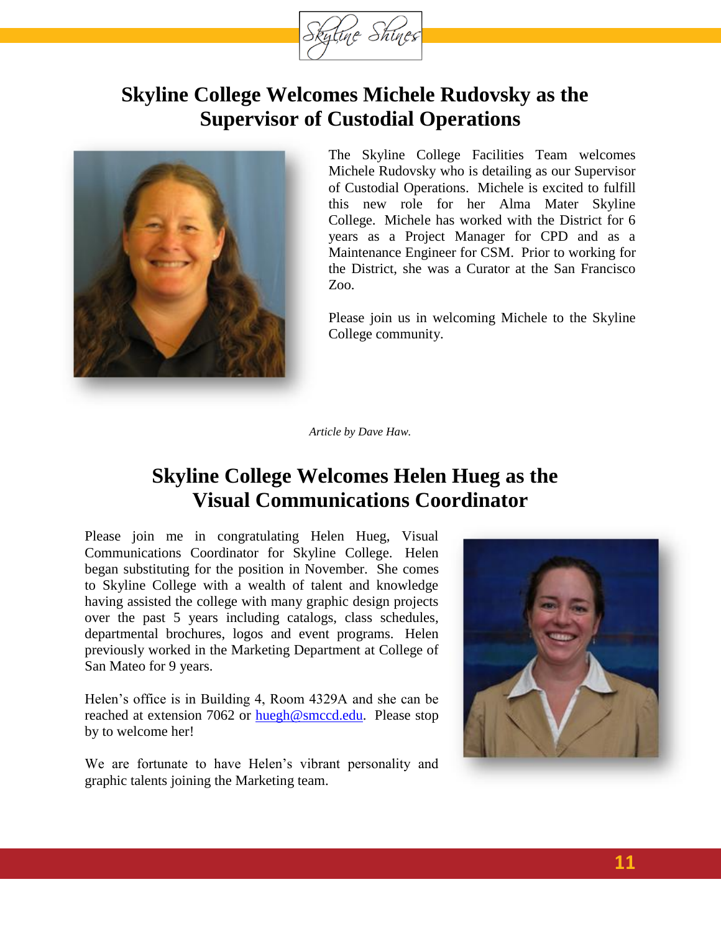

### **Skyline College Welcomes Michele Rudovsky as the Supervisor of Custodial Operations**



The Skyline College Facilities Team welcomes Michele Rudovsky who is detailing as our Supervisor of Custodial Operations. Michele is excited to fulfill this new role for her Alma Mater Skyline College. Michele has worked with the District for 6 years as a Project Manager for CPD and as a Maintenance Engineer for CSM. Prior to working for the District, she was a Curator at the San Francisco Zoo.

Please join us in welcoming Michele to the Skyline College community.

*Article by Dave Haw.*

### **Skyline College Welcomes Helen Hueg as the Visual Communications Coordinator**

Please join me in congratulating Helen Hueg, Visual Communications Coordinator for Skyline College. Helen began substituting for the position in November. She comes to Skyline College with a wealth of talent and knowledge having assisted the college with many graphic design projects over the past 5 years including catalogs, class schedules, departmental brochures, logos and event programs. Helen previously worked in the Marketing Department at College of San Mateo for 9 years.

Helen's office is in Building 4, Room 4329A and she can be reached at extension 7062 or [huegh@smccd.edu.](mailto:huegh@smccd.edu) Please stop by to welcome her!

We are fortunate to have Helen's vibrant personality and graphic talents joining the Marketing team.

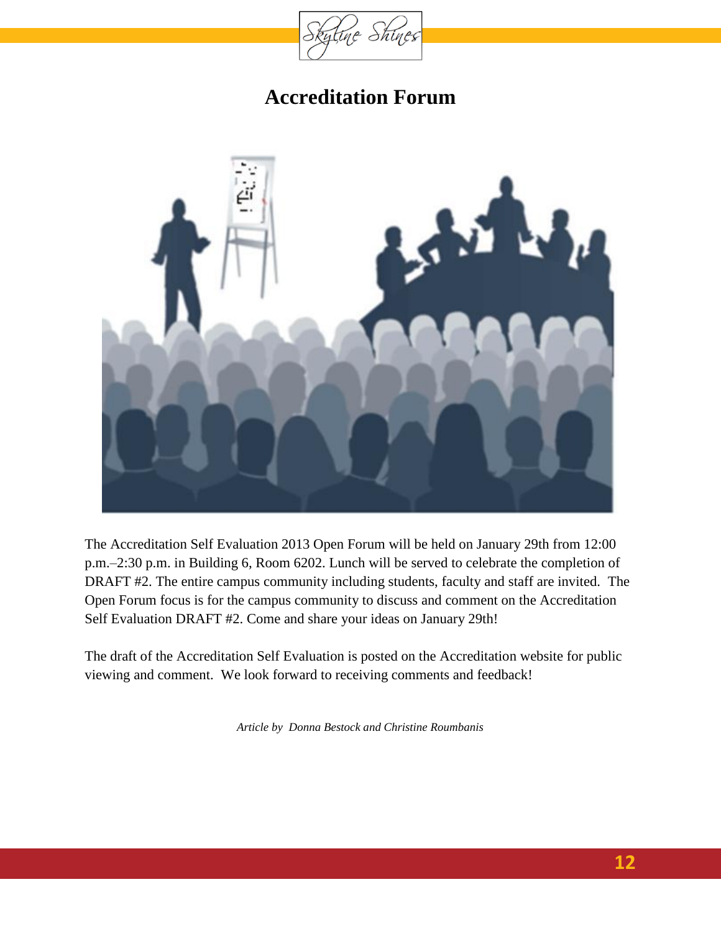

### **Accreditation Forum**

<span id="page-11-0"></span>

The Accreditation Self Evaluation 2013 Open Forum will be held on January 29th from 12:00 p.m.–2:30 p.m. in Building 6, Room 6202. Lunch will be served to celebrate the completion of DRAFT #2. The entire campus community including students, faculty and staff are invited. The Open Forum focus is for the campus community to discuss and comment on the Accreditation Self Evaluation DRAFT #2. Come and share your ideas on January 29th!

The draft of the Accreditation Self Evaluation is posted on the Accreditation website for public viewing and comment. We look forward to receiving comments and feedback!

*Article by Donna Bestock and Christine Roumbanis*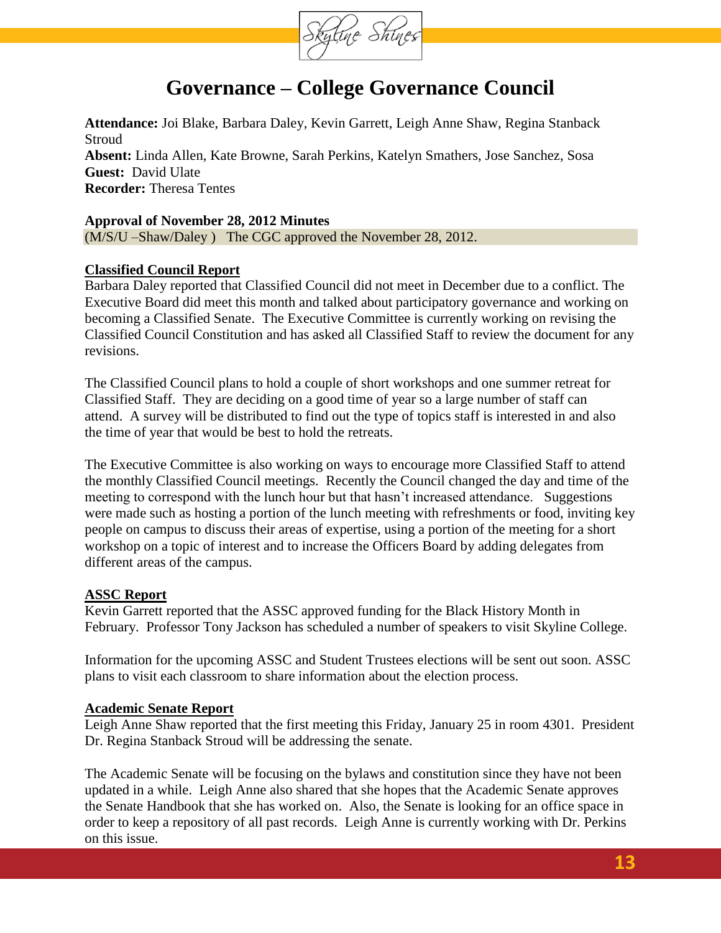

### **Governance – College Governance Council**

<span id="page-12-0"></span>**Attendance:** Joi Blake, Barbara Daley, Kevin Garrett, Leigh Anne Shaw, Regina Stanback Stroud **Absent:** Linda Allen, Kate Browne, Sarah Perkins, Katelyn Smathers, Jose Sanchez, Sosa **Guest:** David Ulate **Recorder:** Theresa Tentes

#### **Approval of November 28, 2012 Minutes**

(M/S/U –Shaw/Daley ) The CGC approved the November 28, 2012.

#### **Classified Council Report**

Barbara Daley reported that Classified Council did not meet in December due to a conflict. The Executive Board did meet this month and talked about participatory governance and working on becoming a Classified Senate. The Executive Committee is currently working on revising the Classified Council Constitution and has asked all Classified Staff to review the document for any revisions.

The Classified Council plans to hold a couple of short workshops and one summer retreat for Classified Staff. They are deciding on a good time of year so a large number of staff can attend. A survey will be distributed to find out the type of topics staff is interested in and also the time of year that would be best to hold the retreats.

The Executive Committee is also working on ways to encourage more Classified Staff to attend the monthly Classified Council meetings. Recently the Council changed the day and time of the meeting to correspond with the lunch hour but that hasn't increased attendance. Suggestions were made such as hosting a portion of the lunch meeting with refreshments or food, inviting key people on campus to discuss their areas of expertise, using a portion of the meeting for a short workshop on a topic of interest and to increase the Officers Board by adding delegates from different areas of the campus.

#### **ASSC Report**

Kevin Garrett reported that the ASSC approved funding for the Black History Month in February. Professor Tony Jackson has scheduled a number of speakers to visit Skyline College.

Information for the upcoming ASSC and Student Trustees elections will be sent out soon. ASSC plans to visit each classroom to share information about the election process.

#### **Academic Senate Report**

Leigh Anne Shaw reported that the first meeting this Friday, January 25 in room 4301. President Dr. Regina Stanback Stroud will be addressing the senate.

The Academic Senate will be focusing on the bylaws and constitution since they have not been updated in a while. Leigh Anne also shared that she hopes that the Academic Senate approves the Senate Handbook that she has worked on. Also, the Senate is looking for an office space in order to keep a repository of all past records. Leigh Anne is currently working with Dr. Perkins on this issue.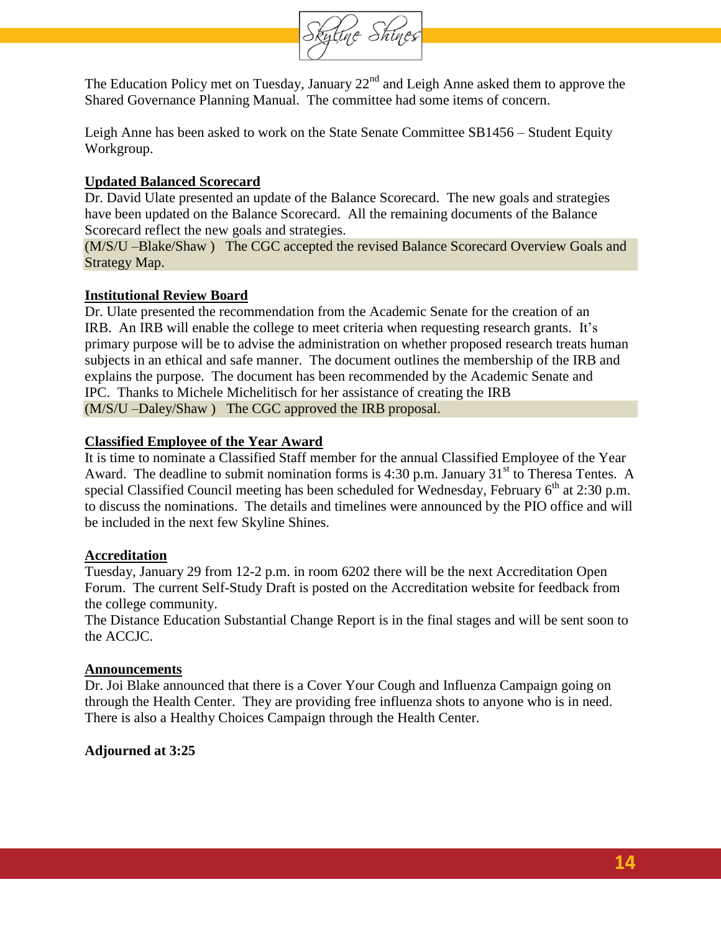

The Education Policy met on Tuesday, January  $22<sup>nd</sup>$  and Leigh Anne asked them to approve the Shared Governance Planning Manual. The committee had some items of concern.

Leigh Anne has been asked to work on the State Senate Committee SB1456 – Student Equity Workgroup.

#### **Updated Balanced Scorecard**

Dr. David Ulate presented an update of the Balance Scorecard. The new goals and strategies have been updated on the Balance Scorecard. All the remaining documents of the Balance Scorecard reflect the new goals and strategies.

(M/S/U –Blake/Shaw ) The CGC accepted the revised Balance Scorecard Overview Goals and Strategy Map.

#### **Institutional Review Board**

Dr. Ulate presented the recommendation from the Academic Senate for the creation of an IRB. An IRB will enable the college to meet criteria when requesting research grants. It's primary purpose will be to advise the administration on whether proposed research treats human subjects in an ethical and safe manner. The document outlines the membership of the IRB and explains the purpose. The document has been recommended by the Academic Senate and IPC. Thanks to Michele Michelitisch for her assistance of creating the IRB (M/S/U –Daley/Shaw ) The CGC approved the IRB proposal.

#### **Classified Employee of the Year Award**

It is time to nominate a Classified Staff member for the annual Classified Employee of the Year Award. The deadline to submit nomination forms is  $4:30$  p.m. January  $31<sup>st</sup>$  to Theresa Tentes. A special Classified Council meeting has been scheduled for Wednesday, February  $6<sup>th</sup>$  at 2:30 p.m. to discuss the nominations. The details and timelines were announced by the PIO office and will be included in the next few Skyline Shines.

#### **Accreditation**

Tuesday, January 29 from 12-2 p.m. in room 6202 there will be the next Accreditation Open Forum. The current Self-Study Draft is posted on the Accreditation website for feedback from the college community.

The Distance Education Substantial Change Report is in the final stages and will be sent soon to the ACCJC.

#### **Announcements**

Dr. Joi Blake announced that there is a Cover Your Cough and Influenza Campaign going on through the Health Center. They are providing free influenza shots to anyone who is in need. There is also a Healthy Choices Campaign through the Health Center.

#### **Adjourned at 3:25**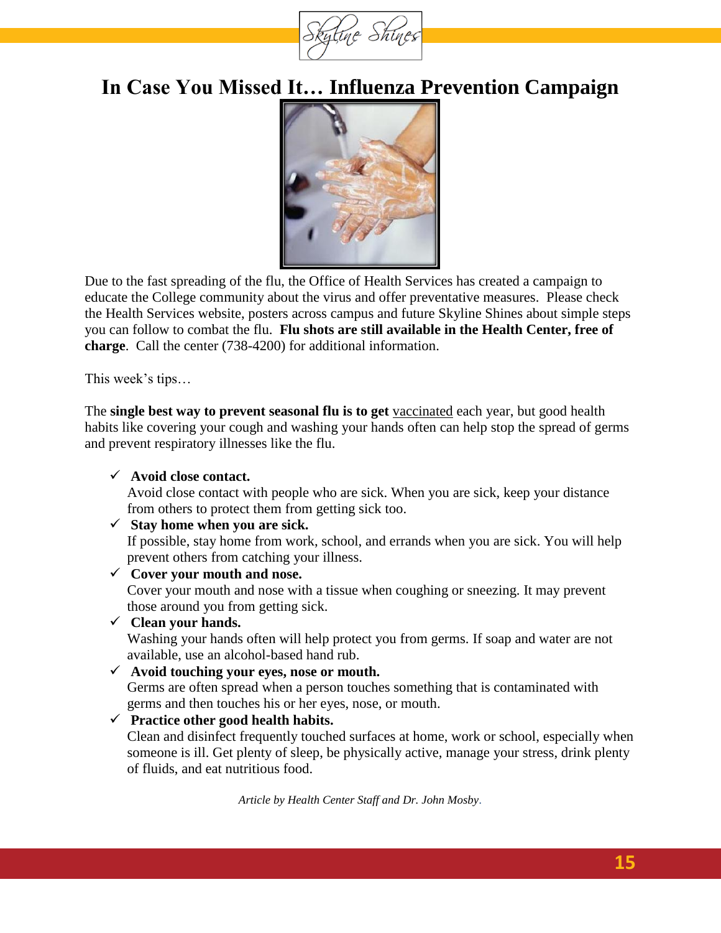

## **In Case You Missed It… Influenza Prevention Campaign**

<span id="page-14-0"></span>

Due to the fast spreading of the flu, the Office of Health Services has created a campaign to educate the College community about the virus and offer preventative measures. Please check the Health Services website, posters across campus and future Skyline Shines about simple steps you can follow to combat the flu. **Flu shots are still available in the Health Center, free of charge**. Call the center (738-4200) for additional information.

This week's tips…

The **single best way to prevent seasonal flu is to get** [vaccinated](http://www.cdc.gov/flu/protect/keyfacts.htm) each year, but good health habits like covering your cough and washing your hands often can help stop the spread of germs and prevent respiratory illnesses like the flu.

#### **Avoid close contact.**

Avoid close contact with people who are sick. When you are sick, keep your distance from others to protect them from getting sick too.

#### $\checkmark$  Stay home when you are sick.

If possible, stay home from work, school, and errands when you are sick. You will help prevent others from catching your illness.

**Cover your mouth and nose.**

Cover your mouth and nose with a tissue when coughing or sneezing. It may prevent those around you from getting sick.

**Clean your hands.**

Washing your hands often will help protect you from germs. If soap and water are not available, use an alcohol-based hand rub.

**Avoid touching your eyes, nose or mouth.**

Germs are often spread when a person touches something that is contaminated with germs and then touches his or her eyes, nose, or mouth.

#### **Practice other good health habits.**

Clean and disinfect frequently touched surfaces at home, work or school, especially when someone is ill. Get plenty of sleep, be physically active, manage your stress, drink plenty of fluids, and eat nutritious food.

*Article by Health Center Staff and Dr. John Mosby.*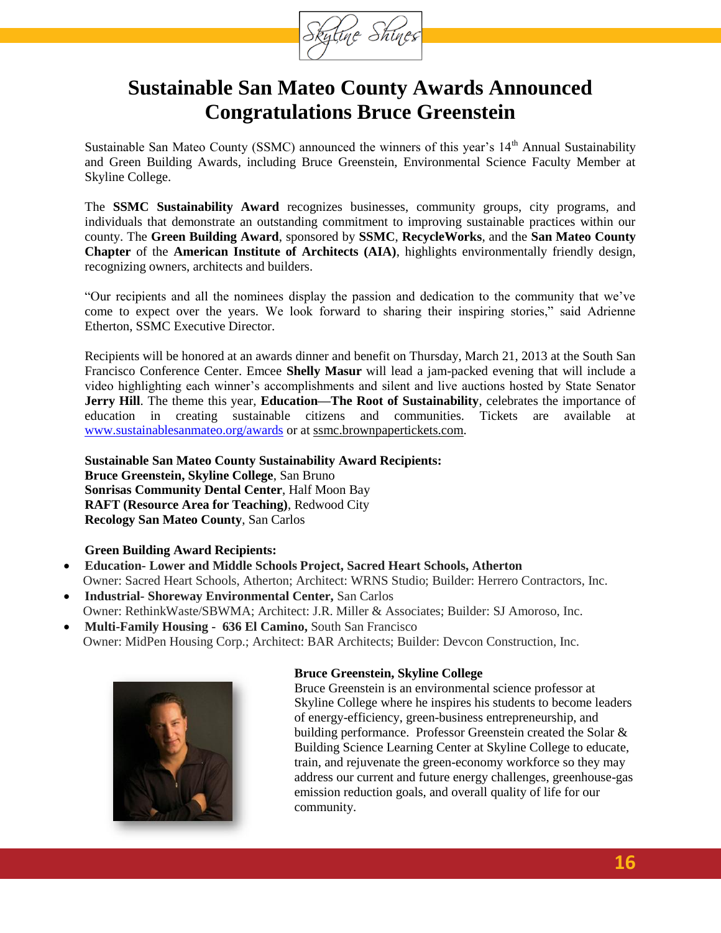

### **Sustainable San Mateo County Awards Announced Congratulations Bruce Greenstein**

Sustainable San Mateo County (SSMC) announced the winners of this year's 14<sup>th</sup> Annual Sustainability and Green Building Awards, including Bruce Greenstein, Environmental Science Faculty Member at Skyline College.

The **SSMC Sustainability Award** recognizes businesses, community groups, city programs, and individuals that demonstrate an outstanding commitment to improving sustainable practices within our county. The **Green Building Award**, sponsored by **SSMC**, **RecycleWorks**, and the **San Mateo County Chapter** of the **American Institute of Architects (AIA)**, highlights environmentally friendly design, recognizing owners, architects and builders.

"Our recipients and all the nominees display the passion and dedication to the community that we've come to expect over the years. We look forward to sharing their inspiring stories," said Adrienne Etherton, SSMC Executive Director.

Recipients will be honored at an awards dinner and benefit on Thursday, March 21, 2013 at the South San Francisco Conference Center. Emcee **Shelly Masur** will lead a jam-packed evening that will include a video highlighting each winner's accomplishments and silent and live auctions hosted by State Senator **Jerry Hill**. The theme this year, **Education—The Root of Sustainability**, celebrates the importance of education in creating sustainable citizens and communities. Tickets are available at [www.sustainablesanmateo.org/awards](http://www.sustainablesanmateo.org/awards) or at ssmc.brownpapertickets.com.

**Sustainable San Mateo County Sustainability Award Recipients: Bruce Greenstein, Skyline College**, San Bruno **Sonrisas Community Dental Center**, Half Moon Bay **RAFT (Resource Area for Teaching)**, Redwood City **Recology San Mateo County**, San Carlos

#### **Green Building Award Recipients:**

- **Education- Lower and Middle Schools Project, Sacred Heart Schools, Atherton** Owner: Sacred Heart Schools, Atherton; Architect: WRNS Studio; Builder: Herrero Contractors, Inc.
- **Industrial- Shoreway Environmental Center,** San Carlos Owner: RethinkWaste/SBWMA; Architect: J.R. Miller & Associates; Builder: SJ Amoroso, Inc.
- **Multi-Family Housing - 636 El Camino,** South San Francisco Owner: MidPen Housing Corp.; Architect: BAR Architects; Builder: Devcon Construction, Inc.



#### **Bruce Greenstein, Skyline College**

Bruce Greenstein is an environmental science professor at Skyline College where he inspires his students to become leaders of energy-efficiency, green-business entrepreneurship, and building performance. Professor Greenstein created the Solar & Building Science Learning Center at Skyline College to educate, train, and rejuvenate the green-economy workforce so they may address our current and future energy challenges, greenhouse-gas emission reduction goals, and overall quality of life for our community.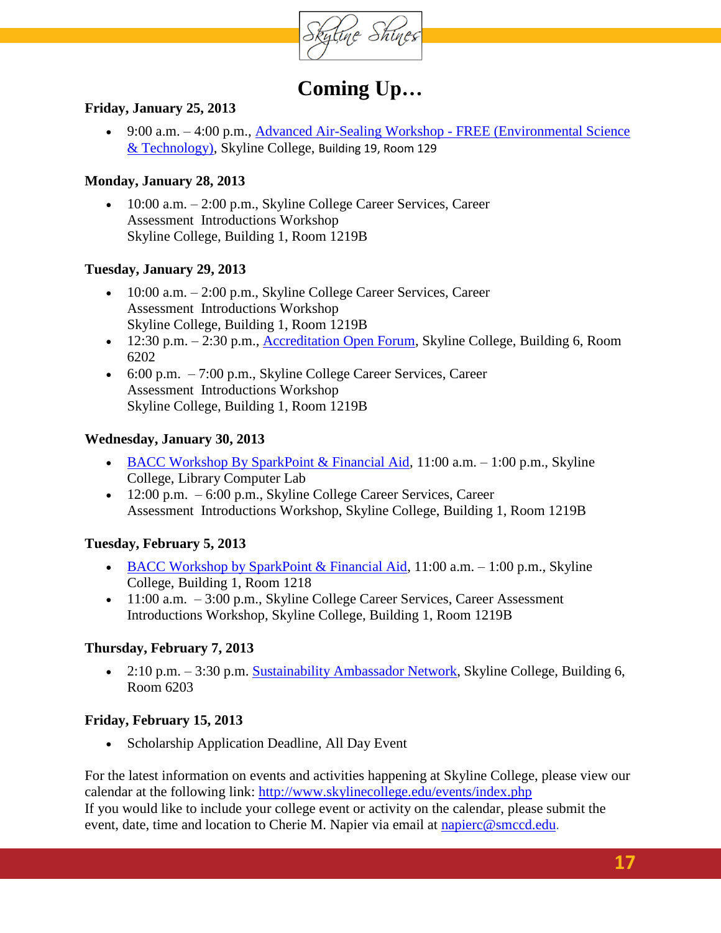

### **Coming Up…**

#### **Friday, January 25, 2013**

 9:00 a.m. – 4:00 p.m., [Advanced Air-Sealing Workshop -](http://www.skylinecollege.edu/events/index.php?id=skypio%40my.smccd.edu&eventid=v22gugkuivq3n0f0b74qq0i0kg) FREE (Environmental Science [& Technology\),](http://www.skylinecollege.edu/events/index.php?id=skypio%40my.smccd.edu&eventid=v22gugkuivq3n0f0b74qq0i0kg) Skyline College, Building 19, Room 129

#### **Monday, January 28, 2013**

 $\bullet$  10:00 a.m.  $-2:00$  p.m., Skyline College Career Services, Career Assessment Introductions Workshop Skyline College, Building 1, Room 1219B

#### **Tuesday, January 29, 2013**

- $10:00$  a.m.  $-2:00$  p.m., Skyline College Career Services, Career Assessment Introductions Workshop Skyline College, Building 1, Room 1219B
- 12:30 p.m. 2:30 p.m., [Accreditation Open Forum,](http://www.skylinecollege.edu/events/index.php?id=skypio%40my.smccd.edu&eventid=ic3u7qm4o3r29qv2toomsoblvk) Skyline College, Building 6, Room 6202
- $\bullet$  6:00 p.m.  $-7:00$  p.m., Skyline College Career Services, Career Assessment Introductions Workshop Skyline College, Building 1, Room 1219B

#### **Wednesday, January 30, 2013**

- [BACC Workshop By SparkPoint & Financial Aid,](http://www.skylinecollege.edu/events/index.php?id=skypio%40my.smccd.edu&eventid=33221k0j2dg9v8k4tts5us06uk)  $11:00$  a.m.  $-1:00$  p.m., Skyline College, Library Computer Lab
- $12:00 \text{ p.m.} 6:00 \text{ p.m.}$ , Skyline College Career Services, Career Assessment Introductions Workshop, Skyline College, Building 1, Room 1219B

#### **Tuesday, February 5, 2013**

- [BACC Workshop by SparkPoint & Financial Aid,](http://www.skylinecollege.edu/events/index.php?id=skypio%40my.smccd.edu&eventid=ffrkltoc4beo6d042i8239tg0g)  $11:00$  a.m.  $-1:00$  p.m., Skyline College, Building 1, Room 1218
- $11:00$  a.m.  $-3:00$  p.m., Skyline College Career Services, Career Assessment Introductions Workshop, Skyline College, Building 1, Room 1219B

#### **Thursday, February 7, 2013**

• 2:10 p.m. – 3:30 p.m. [Sustainability Ambassador Network,](http://www.skylinecollege.edu/events/index.php?id=skypio%40my.smccd.edu&eventid=avjghkic3biort0ka7suob96jo) Skyline College, Building 6, Room 6203

#### **Friday, February 15, 2013**

Scholarship Application Deadline, All Day Event

For the latest information on events and activities happening at Skyline College, please view our calendar at the following link:<http://www.skylinecollege.edu/events/index.php> If you would like to include your college event or activity on the calendar, please submit the event, date, time and location to Cherie M. Napier via email at [napierc@smccd.edu](mailto:napierc@smccd.edu).